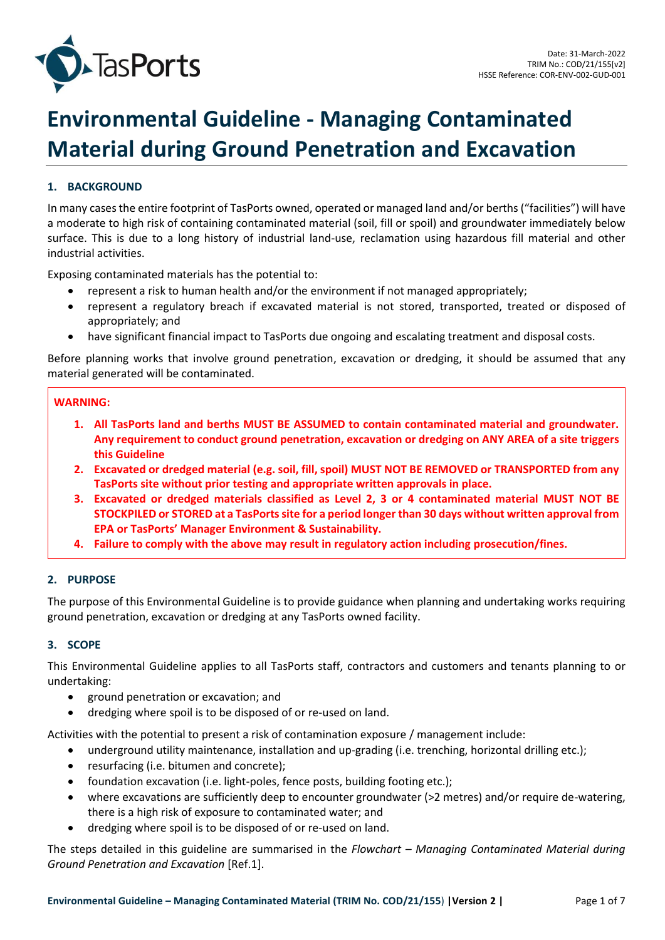

# **Environmental Guideline - Managing Contaminated Material during Ground Penetration and Excavation**

# **1. BACKGROUND**

In many cases the entire footprint of TasPorts owned, operated or managed land and/or berths ("facilities") will have a moderate to high risk of containing contaminated material (soil, fill or spoil) and groundwater immediately below surface. This is due to a long history of industrial land-use, reclamation using hazardous fill material and other industrial activities.

Exposing contaminated materials has the potential to:

- represent a risk to human health and/or the environment if not managed appropriately;
- represent a regulatory breach if excavated material is not stored, transported, treated or disposed of appropriately; and
- have significant financial impact to TasPorts due ongoing and escalating treatment and disposal costs.

Before planning works that involve ground penetration, excavation or dredging, it should be assumed that any material generated will be contaminated.

#### **WARNING:**

- **1. All TasPorts land and berths MUST BE ASSUMED to contain contaminated material and groundwater. Any requirement to conduct ground penetration, excavation or dredging on ANY AREA of a site triggers this Guideline**
- **2. Excavated or dredged material (e.g. soil, fill, spoil) MUST NOT BE REMOVED or TRANSPORTED from any TasPorts site without prior testing and appropriate written approvals in place.**
- **3. Excavated or dredged materials classified as Level 2, 3 or 4 contaminated material MUST NOT BE STOCKPILED or STORED at a TasPorts site for a period longer than 30 days without written approval from EPA or TasPorts' Manager Environment & Sustainability.**
- **4. Failure to comply with the above may result in regulatory action including prosecution/fines.**

## **2. PURPOSE**

The purpose of this Environmental Guideline is to provide guidance when planning and undertaking works requiring ground penetration, excavation or dredging at any TasPorts owned facility.

## **3. SCOPE**

This Environmental Guideline applies to all TasPorts staff, contractors and customers and tenants planning to or undertaking:

- ground penetration or excavation; and
- dredging where spoil is to be disposed of or re-used on land.

Activities with the potential to present a risk of contamination exposure / management include:

- underground utility maintenance, installation and up-grading (i.e. trenching, horizontal drilling etc.);
- resurfacing (i.e. bitumen and concrete);
- foundation excavation (i.e. light-poles, fence posts, building footing etc.);
- where excavations are sufficiently deep to encounter groundwater (>2 metres) and/or require de-watering, there is a high risk of exposure to contaminated water; and
- dredging where spoil is to be disposed of or re-used on land.

The steps detailed in this guideline are summarised in the *Flowchart – Managing Contaminated Material during Ground Penetration and Excavation* [Re[f.1\]](#page-6-0).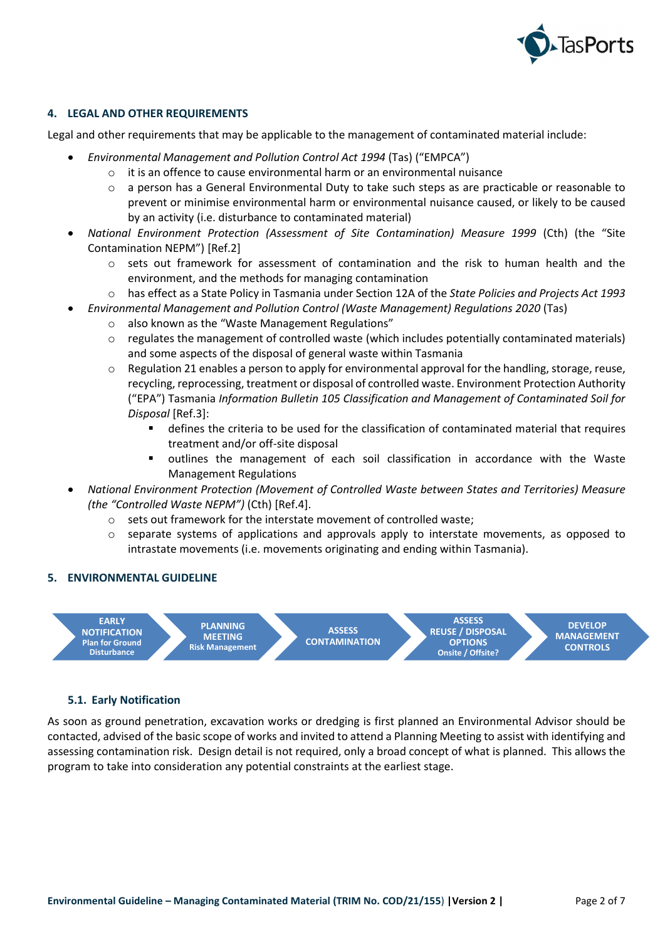

## **4. LEGAL AND OTHER REQUIREMENTS**

Legal and other requirements that may be applicable to the management of contaminated material include:

- *Environmental Management and Pollution Control Act 1994* (Tas) ("EMPCA")
	- $\circ$  it is an offence to cause environmental harm or an environmental nuisance
	- o a person has a General Environmental Duty to take such steps as are practicable or reasonable to prevent or minimise environmental harm or environmental nuisance caused, or likely to be caused by an activity (i.e. disturbance to contaminated material)
- *National Environment Protection (Assessment of Site Contamination) Measure 1999* (Cth) (the "Site Contamination NEPM") [Ref[.2\]](#page-6-1)
	- $\circ$  sets out framework for assessment of contamination and the risk to human health and the environment, and the methods for managing contamination
	- o has effect as a State Policy in Tasmania under Section 12A of the *State Policies and Projects Act 1993*
		- *Environmental Management and Pollution Control (Waste Management) Regulations 2020* (Tas)
			- o also known as the "Waste Management Regulations"
			- $\circ$  regulates the management of controlled waste (which includes potentially contaminated materials) and some aspects of the disposal of general waste within Tasmania
			- $\circ$  Regulation 21 enables a person to apply for environmental approval for the handling, storage, reuse, recycling, reprocessing, treatment or disposal of controlled waste. Environment Protection Authority ("EPA") Tasmania *Information Bulletin 105 Classification and Management of Contaminated Soil for Disposal* [Ref[.3\]](#page-6-2):
				- defines the criteria to be used for the classification of contaminated material that requires treatment and/or off-site disposal
				- outlines the management of each soil classification in accordance with the Waste Management Regulations
- *National Environment Protection (Movement of Controlled Waste between States and Territories) Measure (the "Controlled Waste NEPM")* (Cth) [Re[f.4\]](#page-6-3).
	- o sets out framework for the interstate movement of controlled waste;
	- $\circ$  separate systems of applications and approvals apply to interstate movements, as opposed to intrastate movements (i.e. movements originating and ending within Tasmania).

## **5. ENVIRONMENTAL GUIDELINE**



#### **5.1. Early Notification**

As soon as ground penetration, excavation works or dredging is first planned an Environmental Advisor should be contacted, advised of the basic scope of works and invited to attend a Planning Meeting to assist with identifying and assessing contamination risk. Design detail is not required, only a broad concept of what is planned. This allows the program to take into consideration any potential constraints at the earliest stage.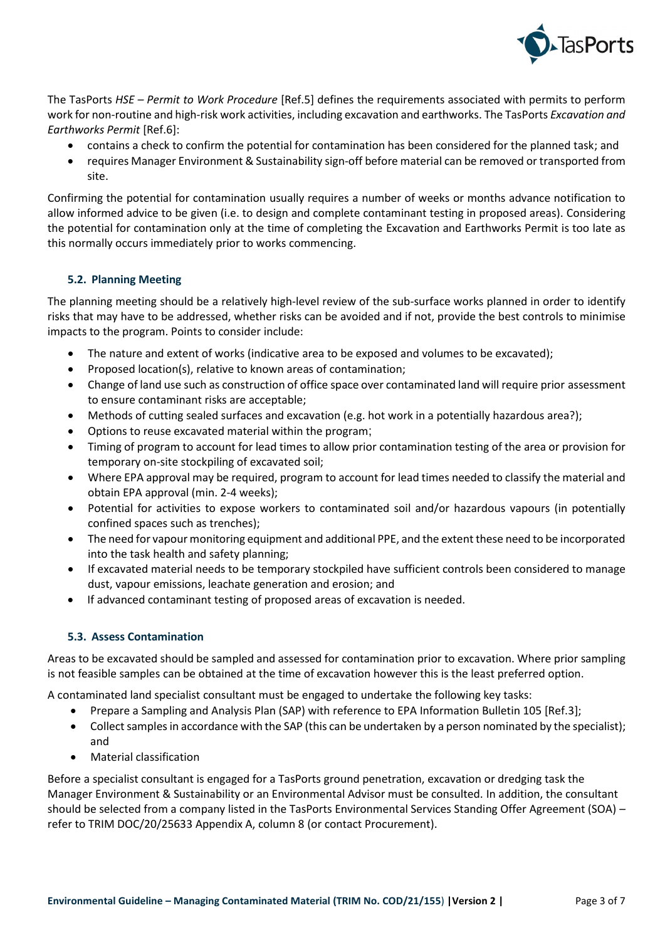

The TasPorts *HSE – Permit to Work Procedure* [Ref[.5\]](#page-6-4) defines the requirements associated with permits to perform work for non-routine and high-risk work activities, including excavation and earthworks. The TasPorts *Excavation and Earthworks Permit* [Ref.6]:

- contains a check to confirm the potential for contamination has been considered for the planned task; and
- requires Manager Environment & Sustainability sign-off before material can be removed or transported from site.

Confirming the potential for contamination usually requires a number of weeks or months advance notification to allow informed advice to be given (i.e. to design and complete contaminant testing in proposed areas). Considering the potential for contamination only at the time of completing the Excavation and Earthworks Permit is too late as this normally occurs immediately prior to works commencing.

## **5.2. Planning Meeting**

The planning meeting should be a relatively high-level review of the sub-surface works planned in order to identify risks that may have to be addressed, whether risks can be avoided and if not, provide the best controls to minimise impacts to the program. Points to consider include:

- The nature and extent of works (indicative area to be exposed and volumes to be excavated);
- Proposed location(s), relative to known areas of contamination;
- Change of land use such as construction of office space over contaminated land will require prior assessment to ensure contaminant risks are acceptable;
- Methods of cutting sealed surfaces and excavation (e.g. hot work in a potentially hazardous area?);
- Options to reuse excavated material within the program;
- Timing of program to account for lead times to allow prior contamination testing of the area or provision for temporary on-site stockpiling of excavated soil;
- Where EPA approval may be required, program to account for lead times needed to classify the material and obtain EPA approval (min. 2-4 weeks);
- Potential for activities to expose workers to contaminated soil and/or hazardous vapours (in potentially confined spaces such as trenches);
- The need for vapour monitoring equipment and additional PPE, and the extent these need to be incorporated into the task health and safety planning;
- If excavated material needs to be temporary stockpiled have sufficient controls been considered to manage dust, vapour emissions, leachate generation and erosion; and
- If advanced contaminant testing of proposed areas of excavation is needed.

## **5.3. Assess Contamination**

Areas to be excavated should be sampled and assessed for contamination prior to excavation. Where prior sampling is not feasible samples can be obtained at the time of excavation however this is the least preferred option.

A contaminated land specialist consultant must be engaged to undertake the following key tasks:

- Prepare a Sampling and Analysis Plan (SAP) with reference to EPA Information Bulletin 105 [Ref.3];
- Collect samples in accordance with the SAP (this can be undertaken by a person nominated by the specialist); and
- Material classification

Before a specialist consultant is engaged for a TasPorts ground penetration, excavation or dredging task the Manager Environment & Sustainability or an Environmental Advisor must be consulted. In addition, the consultant should be selected from a company listed in the TasPorts Environmental Services Standing Offer Agreement (SOA) – refer to TRIM DOC/20/25633 Appendix A, column 8 (or contact Procurement).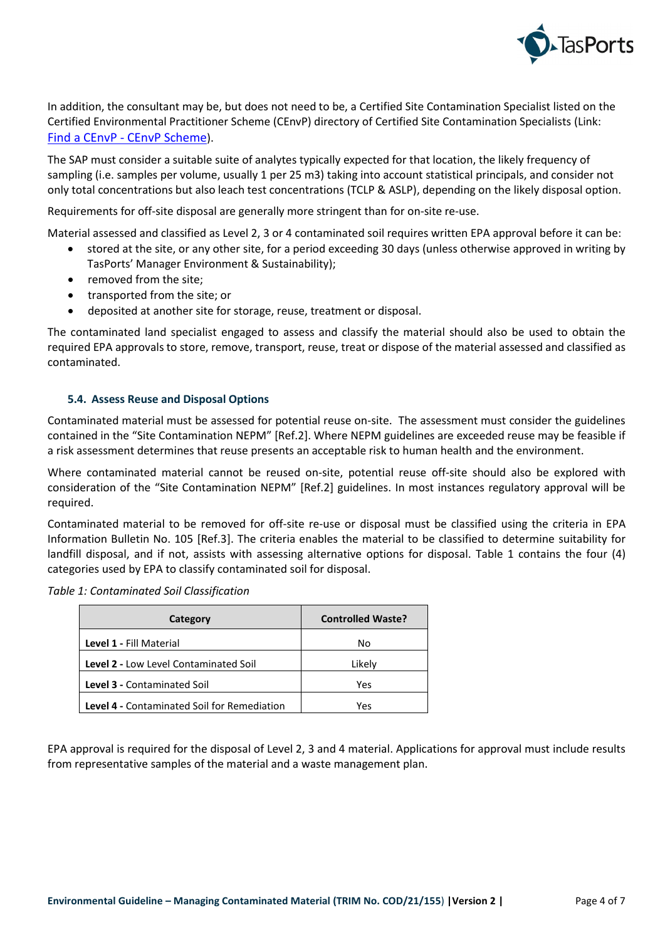

In addition, the consultant may be, but does not need to be, a Certified Site Contamination Specialist listed on the Certified Environmental Practitioner Scheme (CEnvP) directory of Certified Site Contamination Specialists (Link: Find a CEnvP - [CEnvP Scheme](https://www.cenvp.org/directory/#1590451078155-72126cb6-1549)).

The SAP must consider a suitable suite of analytes typically expected for that location, the likely frequency of sampling (i.e. samples per volume, usually 1 per 25 m3) taking into account statistical principals, and consider not only total concentrations but also leach test concentrations (TCLP & ASLP), depending on the likely disposal option.

Requirements for off-site disposal are generally more stringent than for on-site re-use.

Material assessed and classified as Level 2, 3 or 4 contaminated soil requires written EPA approval before it can be:

- stored at the site, or any other site, for a period exceeding 30 days (unless otherwise approved in writing by TasPorts' Manager Environment & Sustainability);
- removed from the site;
- transported from the site; or
- deposited at another site for storage, reuse, treatment or disposal.

The contaminated land specialist engaged to assess and classify the material should also be used to obtain the required EPA approvals to store, remove, transport, reuse, treat or dispose of the material assessed and classified as contaminated.

#### **5.4. Assess Reuse and Disposal Options**

Contaminated material must be assessed for potential reuse on-site. The assessment must consider the guidelines contained in the "Site Contamination NEPM" [Ref.[2\]](#page-6-1). Where NEPM guidelines are exceeded reuse may be feasible if a risk assessment determines that reuse presents an acceptable risk to human health and the environment.

Where contaminated material cannot be reused on-site, potential reuse off-site should also be explored with consideration of the "Site Contamination NEPM" [Ref.[2\]](#page-6-1) guidelines. In most instances regulatory approval will be required.

Contaminated material to be removed for off-site re-use or disposal must be classified using the criteria in EPA Information Bulletin No. 105 [Ref[.3\]](#page-6-2). The criteria enables the material to be classified to determine suitability for landfill disposal, and if not, assists with assessing alternative options for disposal. Table 1 contains the four (4) categories used by EPA to classify contaminated soil for disposal.

| Category                                           | <b>Controlled Waste?</b> |
|----------------------------------------------------|--------------------------|
| Level 1 - Fill Material                            | No                       |
| <b>Level 2 - Low Level Contaminated Soil</b>       | Likely                   |
| Level 3 - Contaminated Soil                        | Yes                      |
| <b>Level 4 - Contaminated Soil for Remediation</b> | Yes                      |

EPA approval is required for the disposal of Level 2, 3 and 4 material. Applications for approval must include results from representative samples of the material and a waste management plan.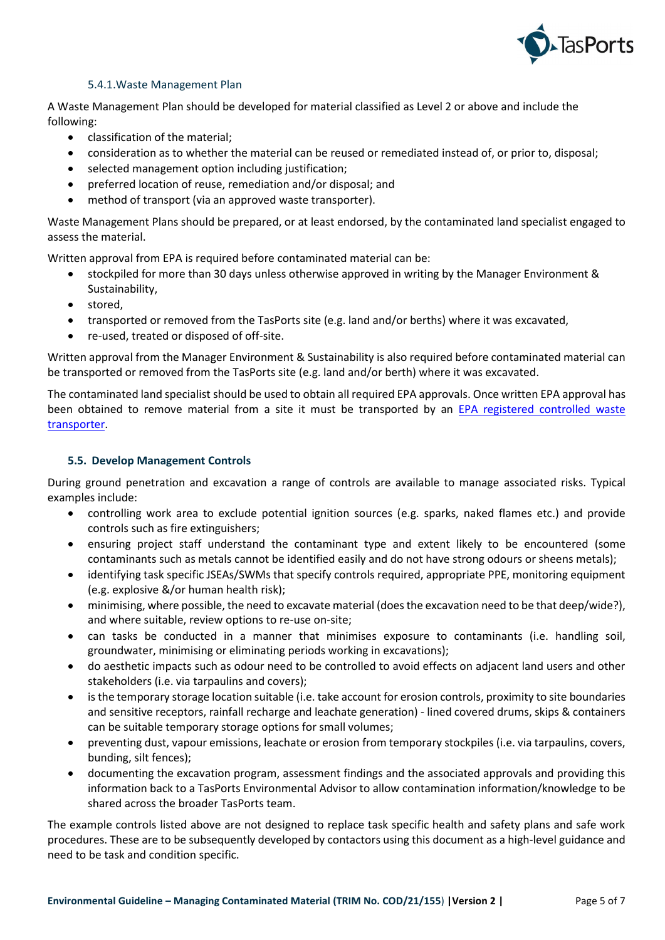

## 5.4.1.Waste Management Plan

A Waste Management Plan should be developed for material classified as Level 2 or above and include the following:

- classification of the material;
- consideration as to whether the material can be reused or remediated instead of, or prior to, disposal;
- selected management option including justification;
- preferred location of reuse, remediation and/or disposal; and
- method of transport (via an approved waste transporter).

Waste Management Plans should be prepared, or at least endorsed, by the contaminated land specialist engaged to assess the material.

Written approval from EPA is required before contaminated material can be:

- stockpiled for more than 30 days unless otherwise approved in writing by the Manager Environment & Sustainability,
- stored,
- transported or removed from the TasPorts site (e.g. land and/or berths) where it was excavated,
- re-used, treated or disposed of off-site.

Written approval from the Manager Environment & Sustainability is also required before contaminated material can be transported or removed from the TasPorts site (e.g. land and/or berth) where it was excavated.

The contaminated land specialist should be used to obtain all required EPA approvals. Once written EPA approval has been obtained to remove material from a site it must be transported by an [EPA registered controlled waste](https://epa.tas.gov.au/business-industry/regulation/waste-management/controlled-waste/handling-controlled-waste-in-tasmania/registration-of-controlled-waste-transporters)  [transporter.](https://epa.tas.gov.au/business-industry/regulation/waste-management/controlled-waste/handling-controlled-waste-in-tasmania/registration-of-controlled-waste-transporters)

## **5.5. Develop Management Controls**

During ground penetration and excavation a range of controls are available to manage associated risks. Typical examples include:

- controlling work area to exclude potential ignition sources (e.g. sparks, naked flames etc.) and provide controls such as fire extinguishers;
- ensuring project staff understand the contaminant type and extent likely to be encountered (some contaminants such as metals cannot be identified easily and do not have strong odours or sheens metals);
- identifying task specific JSEAs/SWMs that specify controls required, appropriate PPE, monitoring equipment (e.g. explosive &/or human health risk);
- minimising, where possible, the need to excavate material (does the excavation need to be that deep/wide?), and where suitable, review options to re-use on-site;
- can tasks be conducted in a manner that minimises exposure to contaminants (i.e. handling soil, groundwater, minimising or eliminating periods working in excavations);
- do aesthetic impacts such as odour need to be controlled to avoid effects on adjacent land users and other stakeholders (i.e. via tarpaulins and covers);
- is the temporary storage location suitable (i.e. take account for erosion controls, proximity to site boundaries and sensitive receptors, rainfall recharge and leachate generation) - lined covered drums, skips & containers can be suitable temporary storage options for small volumes;
- preventing dust, vapour emissions, leachate or erosion from temporary stockpiles (i.e. via tarpaulins, covers, bunding, silt fences);
- documenting the excavation program, assessment findings and the associated approvals and providing this information back to a TasPorts Environmental Advisor to allow contamination information/knowledge to be shared across the broader TasPorts team.

The example controls listed above are not designed to replace task specific health and safety plans and safe work procedures. These are to be subsequently developed by contactors using this document as a high-level guidance and need to be task and condition specific.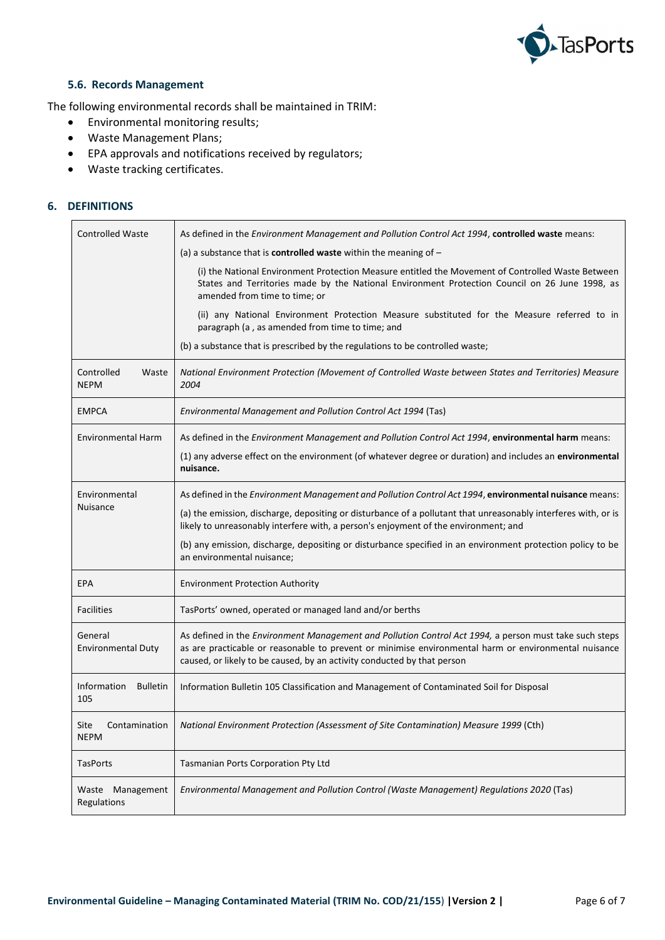

## **5.6. Records Management**

The following environmental records shall be maintained in TRIM:

- Environmental monitoring results;
- Waste Management Plans;
- EPA approvals and notifications received by regulators;
- Waste tracking certificates.

## **6. DEFINITIONS**

| <b>Controlled Waste</b>               | As defined in the Environment Management and Pollution Control Act 1994, controlled waste means:                                                                                                                                                                                          |
|---------------------------------------|-------------------------------------------------------------------------------------------------------------------------------------------------------------------------------------------------------------------------------------------------------------------------------------------|
|                                       | (a) a substance that is <b>controlled waste</b> within the meaning of $-$                                                                                                                                                                                                                 |
|                                       | (i) the National Environment Protection Measure entitled the Movement of Controlled Waste Between<br>States and Territories made by the National Environment Protection Council on 26 June 1998, as<br>amended from time to time; or                                                      |
|                                       | (ii) any National Environment Protection Measure substituted for the Measure referred to in<br>paragraph (a, as amended from time to time; and                                                                                                                                            |
|                                       | (b) a substance that is prescribed by the regulations to be controlled waste;                                                                                                                                                                                                             |
| Controlled<br>Waste<br><b>NEPM</b>    | National Environment Protection (Movement of Controlled Waste between States and Territories) Measure<br>2004                                                                                                                                                                             |
| <b>EMPCA</b>                          | Environmental Management and Pollution Control Act 1994 (Tas)                                                                                                                                                                                                                             |
| <b>Environmental Harm</b>             | As defined in the <i>Environment Management and Pollution Control Act 1994</i> , environmental harm means:                                                                                                                                                                                |
|                                       | (1) any adverse effect on the environment (of whatever degree or duration) and includes an environmental<br>nuisance.                                                                                                                                                                     |
| Environmental<br>Nuisance             | As defined in the Environment Management and Pollution Control Act 1994, environmental nuisance means:                                                                                                                                                                                    |
|                                       | (a) the emission, discharge, depositing or disturbance of a pollutant that unreasonably interferes with, or is<br>likely to unreasonably interfere with, a person's enjoyment of the environment; and                                                                                     |
|                                       | (b) any emission, discharge, depositing or disturbance specified in an environment protection policy to be<br>an environmental nuisance;                                                                                                                                                  |
| <b>EPA</b>                            | <b>Environment Protection Authority</b>                                                                                                                                                                                                                                                   |
| <b>Facilities</b>                     | TasPorts' owned, operated or managed land and/or berths                                                                                                                                                                                                                                   |
| General<br><b>Environmental Duty</b>  | As defined in the Environment Management and Pollution Control Act 1994, a person must take such steps<br>as are practicable or reasonable to prevent or minimise environmental harm or environmental nuisance<br>caused, or likely to be caused, by an activity conducted by that person |
| Information<br><b>Bulletin</b><br>105 | Information Bulletin 105 Classification and Management of Contaminated Soil for Disposal                                                                                                                                                                                                  |
| Site<br>Contamination<br>NEPM         | National Environment Protection (Assessment of Site Contamination) Measure 1999 (Cth)                                                                                                                                                                                                     |
| <b>TasPorts</b>                       | Tasmanian Ports Corporation Pty Ltd                                                                                                                                                                                                                                                       |
| Waste Management<br>Regulations       | Environmental Management and Pollution Control (Waste Management) Regulations 2020 (Tas)                                                                                                                                                                                                  |